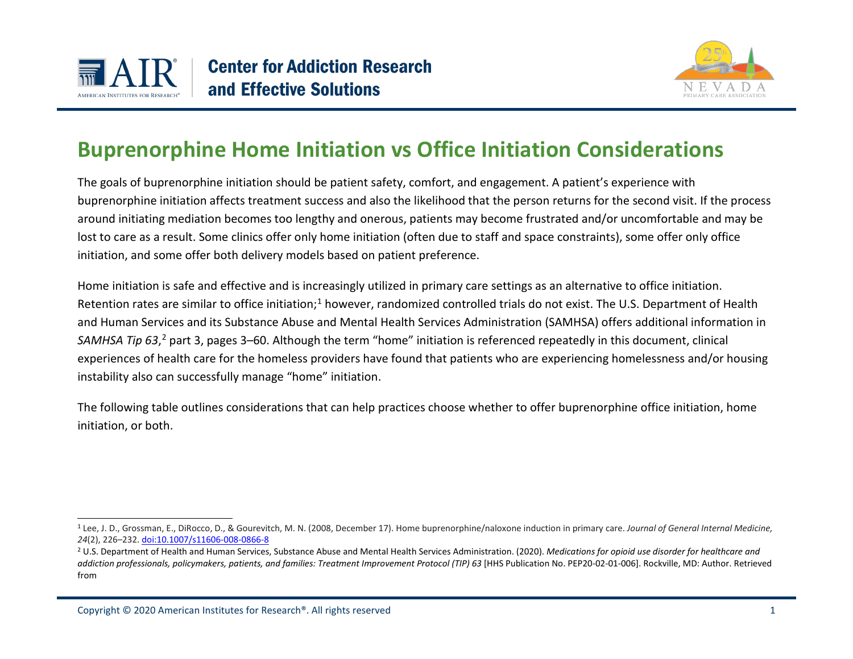

<span id="page-0-1"></span><span id="page-0-0"></span>

## **Buprenorphine Home Initiation vs Office Initiation Considerations**

The goals of buprenorphine initiation should be patient safety, comfort, and engagement. A patient's experience with buprenorphine initiation affects treatment success and also the likelihood that the person returns for the second visit. If the process around initiating mediation becomes too lengthy and onerous, patients may become frustrated and/or uncomfortable and may be lost to care as a result. Some clinics offer only home initiation (often due to staff and space constraints), some offer only office initiation, and some offer both delivery models based on patient preference.

Home initiation is safe and effective and is increasingly utilized in primary care settings as an alternative to office initiation. Retention rates are similar to office initiation;<sup>[1](#page-0-0)</sup> however, randomized controlled trials do not exist. The U.S. Department of Health and Human Services and its Substance Abuse and Mental Health Services Administration (SAMHSA) offers additional information in SAMHSA Tip 63,<sup>[2](#page-0-1)</sup> part 3, pages 3–60. Although the term "home" initiation is referenced repeatedly in this document, clinical experiences of health care for the homeless providers have found that patients who are experiencing homelessness and/or housing instability also can successfully manage "home" initiation.

The following table outlines considerations that can help practices choose whether to offer buprenorphine office initiation, home initiation, or both.

<sup>1</sup> Lee, J. D., Grossman, E., DiRocco, D., & Gourevitch, M. N. (2008, December 17). Home buprenorphine/naloxone induction in primary care. *Journal of General Internal Medicine, 24*(2), 226–232[. doi:10.1007/s11606-008-0866-8](doi:10.1007/s11606-008-0866-8)

<sup>&</sup>lt;sup>2</sup> U.S. Department of Health and Human Services, Substance Abuse and Mental Health Services Administration. (2020). *Medications for opioid use disorder for healthcare and addiction professionals, policymakers, patients, and families: Treatment Improvement Protocol (TIP) 63* [HHS Publication No. PEP20-02-01-006]. Rockville, MD: Author. Retrieved from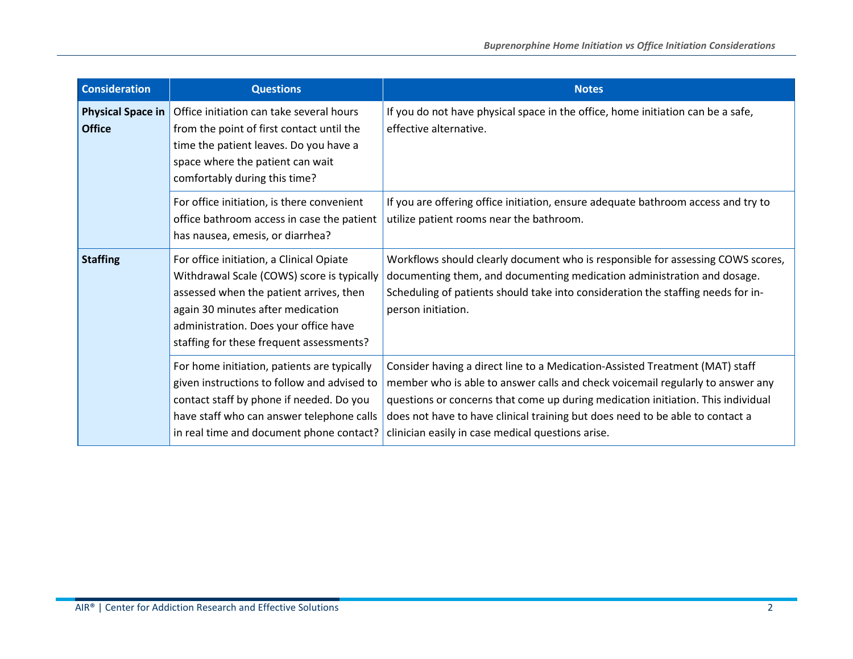| <b>Consideration</b>               | <b>Questions</b>                                                                                                                                                                                                                                            | <b>Notes</b>                                                                                                                                                                                                                                                                                                                                                                             |
|------------------------------------|-------------------------------------------------------------------------------------------------------------------------------------------------------------------------------------------------------------------------------------------------------------|------------------------------------------------------------------------------------------------------------------------------------------------------------------------------------------------------------------------------------------------------------------------------------------------------------------------------------------------------------------------------------------|
| Physical Space in<br><b>Office</b> | Office initiation can take several hours<br>from the point of first contact until the<br>time the patient leaves. Do you have a<br>space where the patient can wait<br>comfortably during this time?                                                        | If you do not have physical space in the office, home initiation can be a safe,<br>effective alternative.                                                                                                                                                                                                                                                                                |
|                                    | For office initiation, is there convenient<br>office bathroom access in case the patient<br>has nausea, emesis, or diarrhea?                                                                                                                                | If you are offering office initiation, ensure adequate bathroom access and try to<br>utilize patient rooms near the bathroom.                                                                                                                                                                                                                                                            |
| <b>Staffing</b>                    | For office initiation, a Clinical Opiate<br>Withdrawal Scale (COWS) score is typically<br>assessed when the patient arrives, then<br>again 30 minutes after medication<br>administration. Does your office have<br>staffing for these frequent assessments? | Workflows should clearly document who is responsible for assessing COWS scores,<br>documenting them, and documenting medication administration and dosage.<br>Scheduling of patients should take into consideration the staffing needs for in-<br>person initiation.                                                                                                                     |
|                                    | For home initiation, patients are typically<br>given instructions to follow and advised to<br>contact staff by phone if needed. Do you<br>have staff who can answer telephone calls<br>in real time and document phone contact?                             | Consider having a direct line to a Medication-Assisted Treatment (MAT) staff<br>member who is able to answer calls and check voicemail regularly to answer any<br>questions or concerns that come up during medication initiation. This individual<br>does not have to have clinical training but does need to be able to contact a<br>clinician easily in case medical questions arise. |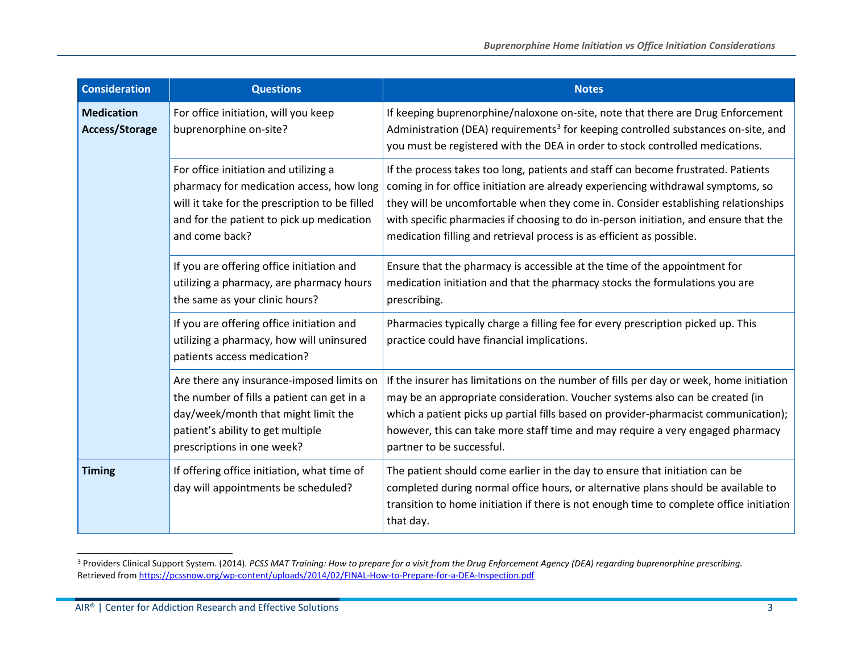<span id="page-2-0"></span>

| <b>Consideration</b>                | <b>Questions</b>                                                                                                                                                                                   | <b>Notes</b>                                                                                                                                                                                                                                                                                                                                                                                                                |
|-------------------------------------|----------------------------------------------------------------------------------------------------------------------------------------------------------------------------------------------------|-----------------------------------------------------------------------------------------------------------------------------------------------------------------------------------------------------------------------------------------------------------------------------------------------------------------------------------------------------------------------------------------------------------------------------|
| <b>Medication</b><br>Access/Storage | For office initiation, will you keep<br>buprenorphine on-site?                                                                                                                                     | If keeping buprenorphine/naloxone on-site, note that there are Drug Enforcement<br>Administration (DEA) requirements <sup>3</sup> for keeping controlled substances on-site, and<br>you must be registered with the DEA in order to stock controlled medications.                                                                                                                                                           |
|                                     | For office initiation and utilizing a<br>pharmacy for medication access, how long<br>will it take for the prescription to be filled<br>and for the patient to pick up medication<br>and come back? | If the process takes too long, patients and staff can become frustrated. Patients<br>coming in for office initiation are already experiencing withdrawal symptoms, so<br>they will be uncomfortable when they come in. Consider establishing relationships<br>with specific pharmacies if choosing to do in-person initiation, and ensure that the<br>medication filling and retrieval process is as efficient as possible. |
|                                     | If you are offering office initiation and<br>utilizing a pharmacy, are pharmacy hours<br>the same as your clinic hours?                                                                            | Ensure that the pharmacy is accessible at the time of the appointment for<br>medication initiation and that the pharmacy stocks the formulations you are<br>prescribing.                                                                                                                                                                                                                                                    |
|                                     | If you are offering office initiation and<br>utilizing a pharmacy, how will uninsured<br>patients access medication?                                                                               | Pharmacies typically charge a filling fee for every prescription picked up. This<br>practice could have financial implications.                                                                                                                                                                                                                                                                                             |
|                                     | Are there any insurance-imposed limits on<br>the number of fills a patient can get in a<br>day/week/month that might limit the<br>patient's ability to get multiple<br>prescriptions in one week?  | If the insurer has limitations on the number of fills per day or week, home initiation<br>may be an appropriate consideration. Voucher systems also can be created (in<br>which a patient picks up partial fills based on provider-pharmacist communication);<br>however, this can take more staff time and may require a very engaged pharmacy<br>partner to be successful.                                                |
| <b>Timing</b>                       | If offering office initiation, what time of<br>day will appointments be scheduled?                                                                                                                 | The patient should come earlier in the day to ensure that initiation can be<br>completed during normal office hours, or alternative plans should be available to<br>transition to home initiation if there is not enough time to complete office initiation<br>that day.                                                                                                                                                    |

<sup>3</sup> Providers Clinical Support System. (2014). *PCSS MAT Training: How to prepare for a visit from the Drug Enforcement Agency (DEA) regarding buprenorphine prescribing.* Retrieved fro[m https://pcssnow.org/wp-content/uploads/2014/02/FINAL-How-to-Prepare-for-a-DEA-Inspection.pdf](https://pcssnow.org/wp-content/uploads/2014/02/FINAL-How-to-Prepare-for-a-DEA-Inspection.pdf)